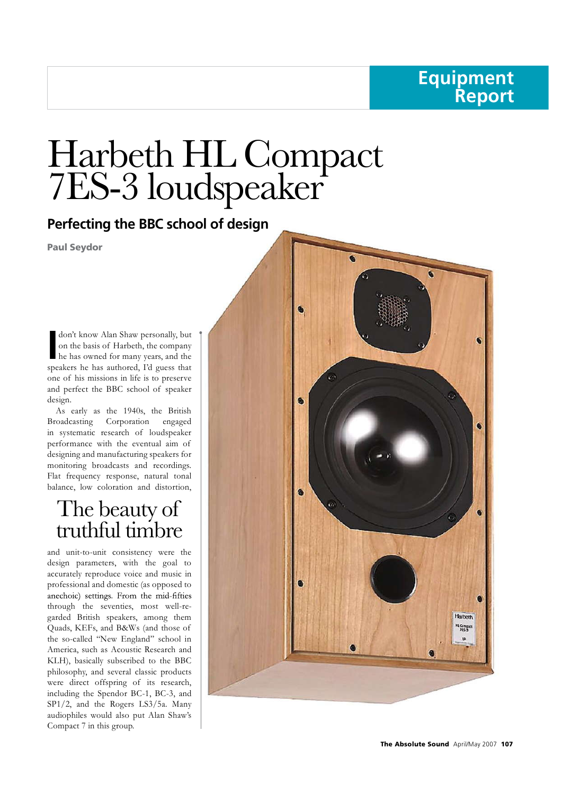## **Equipment Report**

# Harbeth HL Compact<br>7ES-3 loudspeaker

Perfecting the BBC school of design

**Paul Seydor** 

don't know Alan Shaw personally, but<br>
on the basis of Harbeth, the company<br>
he has owned for many years, and the<br>
speakers he has authored Ed guess that don't know Alan Shaw personally, but<br>on the basis of Harbeth, the company<br>he has owned for many years, and the<br>akers he has authored. I'd guess that he has owned for many years, and the speakers he has authored, I'd guess that don't know Alan Shaw personally, but<br>on the basis of Harbeth, the company<br>he has owned for many years, and the<br>speakers he has authored, I'd guess that<br>one of his missions in life is to preserve<br>and perfect the BBC school on the basis of Harbeth, the company<br>he has owned for many years, and the<br>speakers he has authored, I'd guess that<br>one of his missions in life is to preserve<br>and perfect the BBC school of speaker<br>design.<br>As early as the 19 design.

As early as the 1940s, the British Broadcasting Corporation engaged and perfect the BBC school of speaker<br>design.<br>As early as the 1940s, the British<br>Broadcasting Corporation engaged<br>in systematic research of loudspeaker<br>performance with the eventual aim of<br>designing and manufacturing speak design.<br>
As early as the 1940s, the British<br>
Broadcasting Corporation engaged<br>
in systematic research of loudspeaker<br>
performance with the eventual aim of<br>
designing and manufacturing speakers for<br>
monitoring broadcasts an designing and manufacturing speakers for monitoring broadcasts and recordings. Flat frequency response, natural tonal balance, low coloration and distortion,

and unit-to-unit consistency were the design parameters, with the goal to accurately reproduce voice and music in professional and domestic (as opposed to through the seventies, most well-re garded British speakers, among them professional and domestic (as opposed to<br>anechoic) settings. From the mid-fifties<br>through the seventies, most well-re-<br>garded British speakers, among them<br>Quads, KEFs, and B&Ws (and those of<br>the so-called "New England" sch the so-called "New England" school in<br>
America, such as Acoustic Research and<br>
KLH), basically subscribed to the BBC<br>
philosophy, and several classic products<br>
were direct offspring of its research,<br>
including the Spendor America, such as Acoustic Research and KLH), basically subscribed to the BBC philosophy, and several classic products including the Spendor BC-1, BC-3, and SP1/2, and the Rogers LS3/5a. Many audiophiles would also put Alan Shaw's Compact 7 in this group.

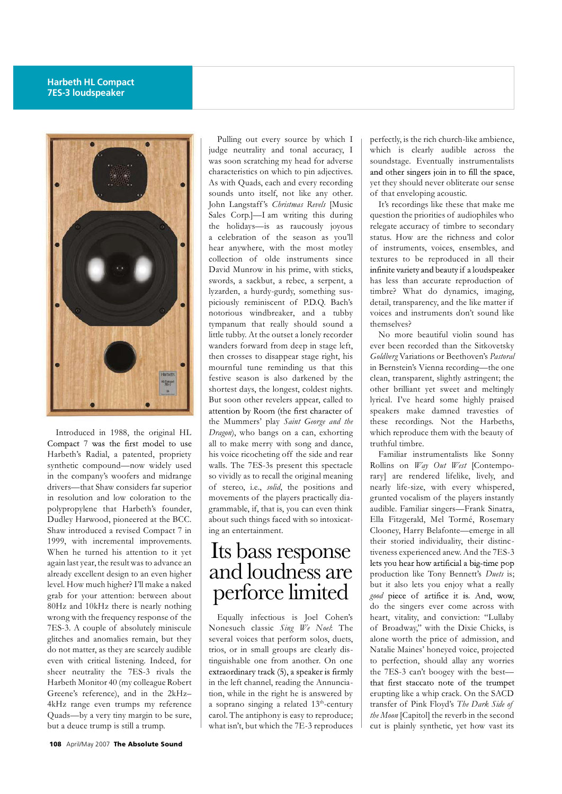## **Harbeth HL Compact 7ES-3 loudspeaker**



Introduced in 1988, the original HL Compact 7 was the first model to use Harbeth's Radial, a patented, propriety his voice ricocheting off the side and rear synthetic compound—now widely used in the company's woofers and midrange drivers—that Shaw considers far superior of stereo, i.e., *solid*, the positions and in resolution and low coloration to the polypropylene that Harbeth's founder, grammable, if, that is, you can even think Dudley Harwood, pioneered at the BCC. Shaw introduced a revised Compact 7 in 1999, with incremental improvements. When he turned his attention to it yet again last year, the result was to advance an already excellent design to an even higher and already excellent design to an even higher already excellent design to an even higher<br>level. How much higher? I'll make a naked<br>grab for your attention: between about<br>80Hz and 10kHz there is nearly nothing<br>wrong with the frequency response of the Equally in<br>7ES-3. already excellent design to an even higher level. How much higher? I'll make a naked grab for your attention: between about 80Hz and 10kHz there is nearly nothing wrong with the frequency response of the<br>7ES-3. A couple of absolutely miniscule glitches and anomalies remain, but they do not matter, as they are scarcely audible even with critical listening. Indeed, for sheer neutrality the 7ES-3 rivals the extraordinary track  $(5)$ , a speaker is firmly Harbeth Monitor 40 (my colleague Robert Greene's reference), and in the 2kHz– 4kHz range even trumps my reference Quads—by a very tiny margin to be sure, but a deuce trump is still a trump.

Pulling out every source by which I judge neutrality and tonal accuracy, I was soon scratching my head for adverse characteristics on which to pin adjectives. <br>and other singers join in to fill the space, As with Quads, each and every recording sounds unto itself, not like any other. <br>  $\vert$  of that enveloping acoustic. Vas soon scratching my head for adverse<br>characteristics on which to pin adjectives.<br>As with Quads, each and every recording<br>sounds unto itself, not like any other.<br>John Langstaff's *Christmas Revels* [Music<br>Sales Corp.]—I Sales Corp.]—I am writing this during the holidays—is as raucously joyous sounds unto itself, not like any other.<br>John Langstaff's *Christmas Revels* [Music<br>Sales Corp.]—I am writing this during<br>the holidays—is as raucously joyous<br>a celebration of the season as you'll<br>hear anywhere, with the mos hear anywhere, with the most motley of instruments, voices, ensembles, and Sales Corp.]—I am writing this during<br>the holidays—is as raucously joyous<br>a celebration of the season as you'll<br>hear anywhere, with the most motley<br>collection of olde instruments since<br>David Munrow in his prime, with stic David Munrow in his prime, with sticks, infinite variety and beauty if a loudspeaker swords, a sackbut, a rebec, a serpent, a has less than accurate reproduction of collection of olde instruments since<br>
David Munrow in his prime, with sticks,<br>
swords, a sackbut, a rebec, a serpent, a<br>
lyzarden, a hurdy-gurdy, something sus-<br>
piciously reminiscent of P.D.Q. Bach's<br>
notorious windbreake notorious windbreaker, and a tubby tympanum that really should sound a little tubby. At the outset a lonely recorder wanders forward from deep in stage left, then crosses to disappear stage right, his mournful tune reminding us that this festive season is also darkened by the shortest days, the longest, coldest nights. But soon other revelers appear, called to the Mummers' play *Saint George and the Dragon*), who bangs on a can, exhorting | which reproduce them with the beauty of all to make merry with song and dance,<br>his voice ricocheting off the side and rear<br>walls. The 7ES-3s present this spectacle<br>so vividly as to recall the original meaning<br>of stereo, i.e., *solid*, the positions and<br>movements attention by Room (the first character of<br>the Mummers' play *Saint George and the*<br>*Dragon*), who bangs on a can, exhorting<br>all to make merry with song and dance,<br>his voice ricocheting off the side and rear<br>walls. The 7ESwalls. The 7ES-3s present this spectacle so vividly as to recall the original meaning movements of the players practically dia- grunted vocalism of the players instantly about such things faced with so intoxicating an entertainment.

## perforce limited

Equally infectious is Joel Cohen's Nonesuch classic *Sing We Noel*: The of Broadway," with the Dixie Chicks, is several voices that perform solos, duets, trios, or in small groups are clearly distinguishable one from another. On one in the left channel, reading the Annunciation, while in the right he is answered by a soprano singing a related  $13<sup>th</sup>$ -century transfer of Pink Floyd's The Dark Side of carol. The antiphony is easy to reproduce; what isn't, but which the 7E-3 reproduces

perfectly, is the rich church-like ambience, which is clearly audible across the<br>
soundstage. Eventually instrumentalists<br>
and other singers join in to fill the space,<br>
yet they should never obliterate our sense<br>
of that enveloping acoustic.<br>
It's recordings like the soundstage. Eventually instrumentalists yet they should never obliterate our sense

It's recordings like these that make me and other singers join in to fill the space,<br>yet they should never obliterate our sense<br>of that enveloping acoustic.<br>It's recordings like these that make me<br>question the priorities of audiophiles who<br>relegate accuracy of t yet they should never obliterate our sense<br>of that enveloping acoustic.<br>It's recordings like these that make me<br>question the priorities of audiophiles who<br>relegate accuracy of timbre to secondary<br>status. How are the richne status. How are the richness and color It's recordings like these that make me<br>question the priorities of audiophiles who<br>relegate accuracy of timbre to secondary<br>status. How are the richness and color<br>of instruments, voices, ensembles, and<br>textures to be repro textures to be reproduced in all their status. How are the richness and color<br>of instruments, voices, ensembles, and<br>textures to be reproduced in all their<br>infinite variety and beauty if a loudspeaker<br>has less than accurate reproduction of<br>timbre? What do dynam timbre? What do dynamics, imaging, textures to be reproduced in all their<br>infinite variety and beauty if a loudspeaker<br>has less than accurate reproduction of<br>timbre? What do dynamics, imaging,<br>detail, transparency, and the like matter if<br>voices and instrume voices and instruments don't sound like themselves?

No more beautiful violin sound has ever been recorded than the Sitkovetsky *Goldberg* Variations or Beethoven's *Pastoral* in Bernstein's Vienna recording—the one clean, transparent, slightly astringent; the other brilliant yet sweet and meltingly lyrical. I've heard some highly praised in Bernstein's Vienna recording—the one<br>clean, transparent, slightly astringent; the<br>other brilliant yet sweet and meltingly<br>lyrical. I've heard some highly praised<br>speakers make damned travesties of<br>these recordings. Not these recordings. Not the Harbeths, other brilliant yet sweet and meltingly<br>lyrical. I've heard some highly praised<br>speakers make damned travesties of<br>these recordings. Not the Harbeths,<br>which reproduce them with the beauty of<br>truthful timbre.<br>Familiar instr truthful timbre.

Familiar instrumentalists like Sonny Rollins on *Way Out West* [Contempo rary] are rendered lifelike, lively, and nearly life-size, with every whispered, Familiar instrumentalists like Sonny<br>Rollins on *Way Out West* [Contempo-<br>rary] are rendered lifelike, lively, and<br>nearly life-size, with every whispered,<br>grunted vocalism of the players instantly<br>audible. Familiar singer audible. Familiar singers—Frank Sinatra, Ella Fitzgerald, Mel Tormé, Rosemary Clooney, Harry Belafonte—emerge in all their storied individuality, their distinctiveness experienced anew. And the 7ES-3 production like Tony Bennett's *Duets* is; but it also lets you enjoy what a really good piece of artifice it is. And, wow, do the singers ever come across with heart, vitality, and conviction: "Lullaby <sup>1</sup> but it also lets you enjoy what a really *good* piece of artifice it is. And, wow, do the singers ever come across with heart, vitality, and conviction: "Lullaby of Broadway," with the Dixie Chicks, is alone worth the good piece of artifice it is. And, wow,<br>do the singers ever come across with<br>heart, vitality, and conviction: "Lullaby<br>of Broadway," with the Dixie Chicks, is<br>alone worth the price of admission, and<br>Natalie Maines' honeyed Natalie Maines' honeyed voice, projected to perfection, should allay any worries the 7ES-3 can't boogey with the best erupting like a whip crack. On the SACD to perfection, should allay any worries<br>the 7ES-3 can't boogey with the best—<br>that first staccato note of the trumpet<br>erupting like a whip crack. On the SACD<br>transfer of Pink Floyd's *The Dark Side of*<br>*the Moon* [Capitol] *the Moon* [Capitol] the reverb in the second cut is plainly synthetic, yet how vast its Its bass response increase experienced anew. And the 7ES-3